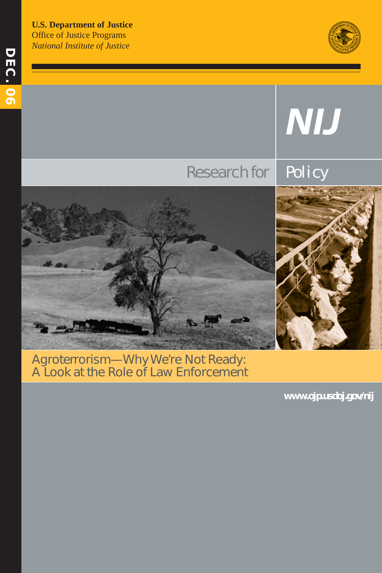**U.S. Department of Justice**  Office of Justice Programs *National Institute of Justice* 





### Agroterrorism—Why We're Not Ready: A Look at the Role of Law Enforcement

**www.ojp.usdoj.gov/nij**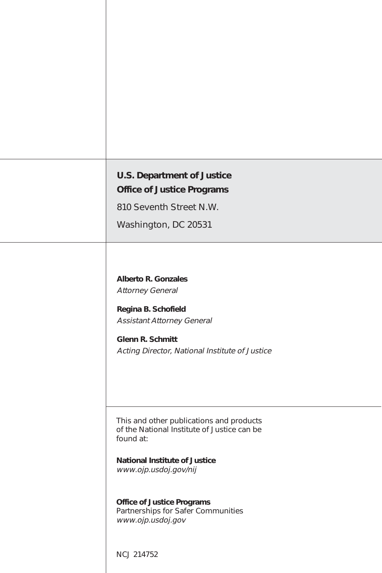| <b>U.S. Department of Justice</b><br><b>Office of Justice Programs</b>                                                                                                                  |
|-----------------------------------------------------------------------------------------------------------------------------------------------------------------------------------------|
| 810 Seventh Street N.W.                                                                                                                                                                 |
| Washington, DC 20531                                                                                                                                                                    |
| <b>Alberto R. Gonzales</b><br><b>Attorney General</b><br>Regina B. Schofield<br><b>Assistant Attorney General</b><br>Glenn R. Schmitt<br>Acting Director, National Institute of Justice |
| This and other publications and products<br>of the National Institute of Justice can be<br>found at:                                                                                    |
| <b>National Institute of Justice</b><br>www.ojp.usdoj.gov/nij                                                                                                                           |
| <b>Office of Justice Programs</b><br>Partnerships for Safer Communities<br>www.ojp.usdoj.gov                                                                                            |
| <b>NCJ 214752</b>                                                                                                                                                                       |

I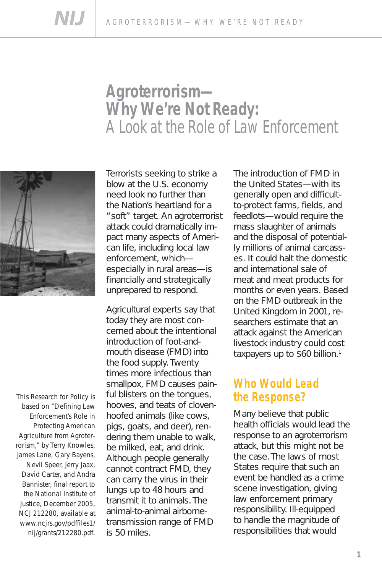# **Agroterrorism— Why We're Not Ready:**  A Look at the Role of Law Enforcement



This Research for Policy is based on "Defining Law Enforcement's Role in Protecting American Agriculture from Agroterrorism," by Terry Knowles, James Lane, Gary Bayens, Nevil Speer, Jerry Jaax, David Carter, and Andra Bannister, final report to the National Institute of Justice, December 2005, NCJ 212280, available at www.ncjrs.gov/pdffiles1/ nij/grants/212280.pdf.

Terrorists seeking to strike a blow at the U.S. economy need look no further than the Nation's heartland for a "soft" target. An agroterrorist attack could dramatically impact many aspects of American life, including local law enforcement, which especially in rural areas—is financially and strategically unprepared to respond.

Agricultural experts say that today they are most concerned about the intentional introduction of foot-andmouth disease (FMD) into the food supply. Twenty times more infectious than smallpox, FMD causes painful blisters on the tongues, hooves, and teats of clovenhoofed animals (like cows, pigs, goats, and deer), rendering them unable to walk, be milked, eat, and drink. Although people generally cannot contract FMD, they can carry the virus in their lungs up to 48 hours and transmit it to animals. The animal-to-animal airbornetransmission range of FMD is 50 miles.

The introduction of FMD in the United States—with its generally open and difficultto-protect farms, fields, and feedlots—would require the mass slaughter of animals and the disposal of potentially millions of animal carcasses. It could halt the domestic and international sale of meat and meat products for months or even years. Based on the FMD outbreak in the United Kingdom in 2001, researchers estimate that an attack against the American livestock industry could cost taxpayers up to \$60 billion.<sup>1</sup>

#### **Who Would Lead the Response?**

Many believe that public health officials would lead the response to an agroterrorism attack, but this might not be the case. The laws of most States require that such an event be handled as a crime scene investigation, giving law enforcement primary responsibility. Ill-equipped to handle the magnitude of responsibilities that would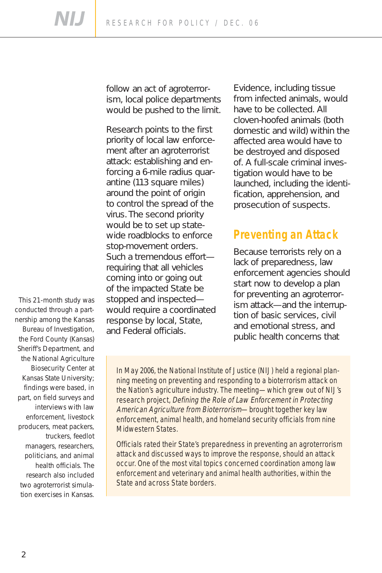follow an act of agroterrorism, local police departments would be pushed to the limit.

Research points to the first priority of local law enforcement after an agroterrorist attack: establishing and enforcing a 6-mile radius quarantine (113 square miles) around the point of origin to control the spread of the virus. The second priority would be to set up statewide roadblocks to enforce stop-movement orders. Such a tremendous effort requiring that all vehicles coming into or going out of the impacted State be stopped and inspected would require a coordinated response by local, State, and Federal officials.

Evidence, including tissue from infected animals, would have to be collected. All cloven-hoofed animals (both domestic and wild) within the affected area would have to be destroyed and disposed of. A full-scale criminal investigation would have to be launched, including the identification, apprehension, and prosecution of suspects.

### **Preventing an Attack**

Because terrorists rely on a lack of preparedness, law enforcement agencies should start now to develop a plan for preventing an agroterrorism attack—and the interruption of basic services, civil and emotional stress, and public health concerns that

This 21-month study was conducted through a partnership among the Kansas Bureau of Investigation, the Ford County (Kansas) Sheriff's Department, and the National Agriculture Biosecurity Center at Kansas State University; findings were based, in part, on field surveys and interviews with law enforcement, livestock producers, meat packers, truckers, feedlot managers, researchers, politicians, and animal health officials. The research also included two agroterrorist simulation exercises in Kansas.

In May 2006, the National Institute of Justice (NIJ) held a regional planning meeting on preventing and responding to a bioterrorism attack on the Nation's agriculture industry. The meeting—which grew out of NIJ's research project, Defining the Role of Law Enforcement in Protecting American Agriculture from Bioterrorism-brought together key law enforcement, animal health, and homeland security officials from nine Midwestern States.

Officials rated their State's preparedness in preventing an agroterrorism attack and discussed ways to improve the response, should an attack occur. One of the most vital topics concerned coordination among law enforcement and veterinary and animal health authorities, within the State and across State borders.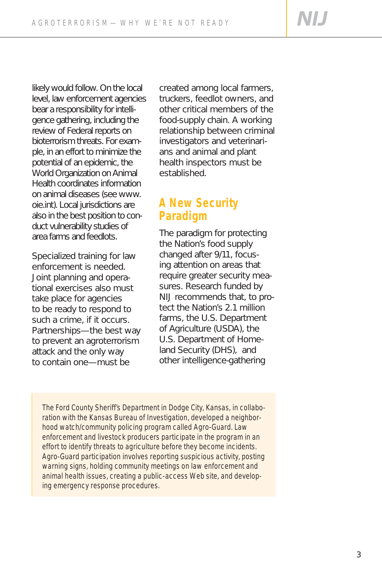**NIJ** 

likely would follow. On the local level, law enforcement agencies bear a responsibility for intelligence gathering, including the review of Federal reports on bioterrorism threats. For example, in an effort to minimize the potential of an epidemic, the World Organization on Animal Health coordinates information on animal diseases (see www. oie.int). Local jurisdictions are also in the best position to conduct vulnerability studies of area farms and feedlots.

Specialized training for law enforcement is needed. Joint planning and operational exercises also must take place for agencies to be ready to respond to such a crime, if it occurs. Partnerships—the best way to prevent an agroterrorism attack and the only way to contain one—must be

created among local farmers, truckers, feedlot owners, and other critical members of the food-supply chain. A working relationship between criminal investigators and veterinarians and animal and plant health inspectors must be established.

# **A New Security Paradigm**

The paradigm for protecting the Nation's food supply changed after 9/11, focusing attention on areas that require greater security measures. Research funded by NIJ recommends that, to protect the Nation's 2.1 million farms, the U.S. Department of Agriculture (USDA), the U.S. Department of Homeland Security (DHS), and other intelligence-gathering

The Ford County Sheriff's Department in Dodge City, Kansas, in collaboration with the Kansas Bureau of Investigation, developed a neighborhood watch/community policing program called Agro-Guard. Law enforcement and livestock producers participate in the program in an effort to identify threats to agriculture before they become incidents. Agro-Guard participation involves reporting suspicious activity, posting warning signs, holding community meetings on law enforcement and animal health issues, creating a public-access Web site, and developing emergency response procedures.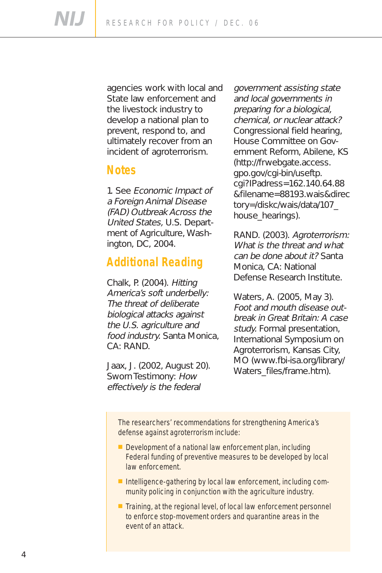**NIJ** RESEARCH FOR POLICY / DEC. 06

> agencies work with local and State law enforcement and the livestock industry to develop a national plan to prevent, respond to, and ultimately recover from an incident of agroterrorism.

#### **Notes**

1. See Economic Impact of a Foreign Animal Disease (FAD) Outbreak Across the United States, U.S. Department of Agriculture, Washington, DC, 2004.

## **Additional Reading**

Chalk, P. (2004). Hitting America's soft underbelly: The threat of deliberate biological attacks against the U.S. agriculture and food industry. Santa Monica, CA: RAND.

Jaax, J. (2002, August 20). Sworn Testimony: How effectively is the federal

government assisting state and local governments in preparing for a biological, chemical, or nuclear attack? Congressional field hearing, House Committee on Government Reform, Abilene, KS (http://frwebgate.access. gpo.gov/cgi-bin/useftp. cgi?IPadress=162.140.64.88 &filename=88193.wais&direc tory=/diskc/wais/data/107\_ house\_hearings).

RAND. (2003). Agroterrorism: What is the threat and what can be done about it? Santa Monica, CA: National Defense Research Institute.

Waters, A. (2005, May 3). Foot and mouth disease outbreak in Great Britain: A case study. Formal presentation, International Symposium on Agroterrorism, Kansas City, MO (www.fbi-isa.org/library/ Waters\_files/frame.htm).

The researchers' recommendations for strengthening America's defense against agroterrorism include:

- Development of a national law enforcement plan, including Federal funding of preventive measures to be developed by local law enforcement.
- Intelligence-gathering by local law enforcement, including community policing in conjunction with the agriculture industry.
- Training, at the regional level, of local law enforcement personnel to enforce stop-movement orders and quarantine areas in the event of an attack.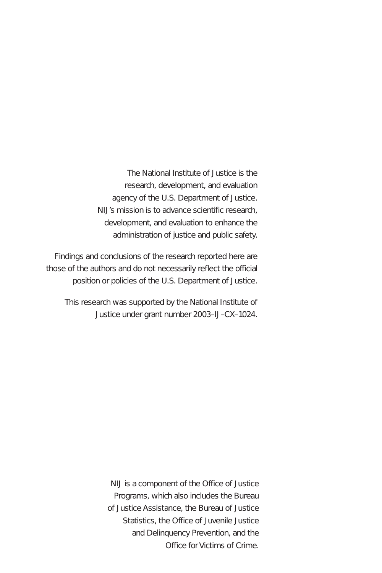The National Institute of Justice is the research, development, and evaluation agency of the U.S. Department of Justice. NIJ's mission is to advance scientific research, development, and evaluation to enhance the administration of justice and public safety.

Findings and conclusions of the research reported here are those of the authors and do not necessarily reflect the official position or policies of the U.S. Department of Justice.

This research was supported by the National Institute of Justice under grant number 2003–IJ–CX–1024.

> NIJ is a component of the Office of Justice Programs, which also includes the Bureau of Justice Assistance, the Bureau of Justice Statistics, the Office of Juvenile Justice and Delinquency Prevention, and the Office for Victims of Crime.